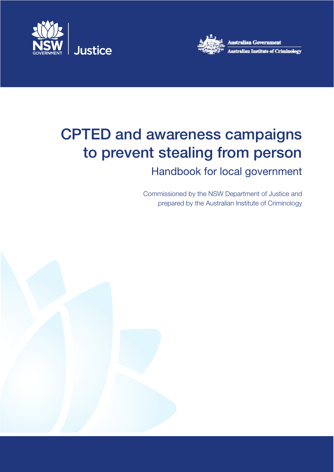



# CPTED and awareness campaigns to prevent stealing from person

# Handbook for local government

Commissioned by the NSW Department of Justice and prepared by the Australian Institute of Criminology

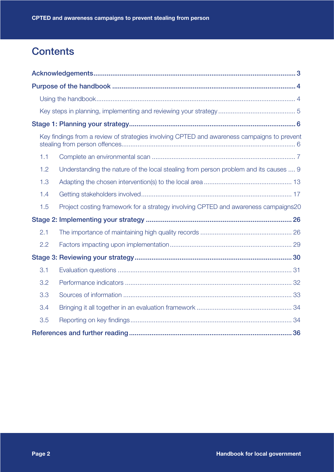# **Contents**

| Key findings from a review of strategies involving CPTED and awareness campaigns to prevent |
|---------------------------------------------------------------------------------------------|
| 1.1                                                                                         |
| Understanding the nature of the local stealing from person problem and its causes  9<br>1.2 |
| 1.3                                                                                         |
| 1.4                                                                                         |
| Project costing framework for a strategy involving CPTED and awareness campaigns20<br>1.5   |
|                                                                                             |
| 2.1                                                                                         |
| 2.2                                                                                         |
|                                                                                             |
| 3.1                                                                                         |
| 3.2                                                                                         |
| 3.3                                                                                         |
| 3.4                                                                                         |
| 3.5                                                                                         |
|                                                                                             |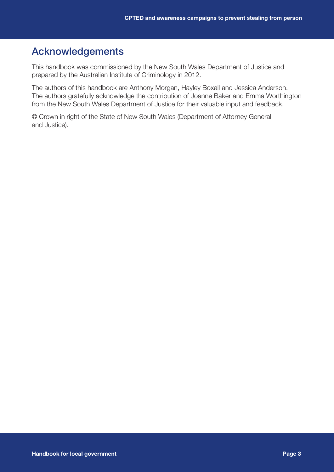## Acknowledgements

This handbook was commissioned by the New South Wales Department of Justice and prepared by the Australian Institute of Criminology in 2012.

The authors of this handbook are Anthony Morgan, Hayley Boxall and Jessica Anderson. The authors gratefully acknowledge the contribution of Joanne Baker and Emma Worthington from the New South Wales Department of Justice for their valuable input and feedback.

© Crown in right of the State of New South Wales (Department of Attorney General and Justice).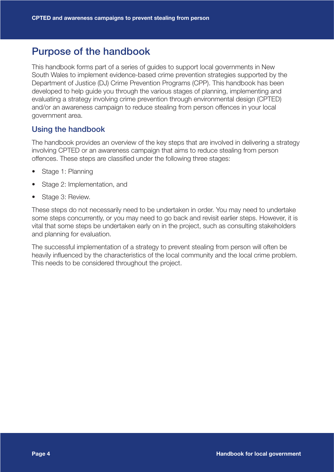## Purpose of the handbook

This handbook forms part of a series of guides to support local governments in New South Wales to implement evidence-based crime prevention strategies supported by the Department of Justice (DJ) Crime Prevention Programs (CPP). This handbook has been developed to help guide you through the various stages of planning, implementing and evaluating a strategy involving crime prevention through environmental design (CPTED) and/or an awareness campaign to reduce stealing from person offences in your local government area.

#### Using the handbook

The handbook provides an overview of the key steps that are involved in delivering a strategy involving CPTED or an awareness campaign that aims to reduce stealing from person offences. These steps are classified under the following three stages:

- Stage 1: Planning
- Stage 2: Implementation, and
- Stage 3: Review.

These steps do not necessarily need to be undertaken in order. You may need to undertake some steps concurrently, or you may need to go back and revisit earlier steps. However, it is vital that some steps be undertaken early on in the project, such as consulting stakeholders and planning for evaluation.

The successful implementation of a strategy to prevent stealing from person will often be heavily influenced by the characteristics of the local community and the local crime problem. This needs to be considered throughout the project.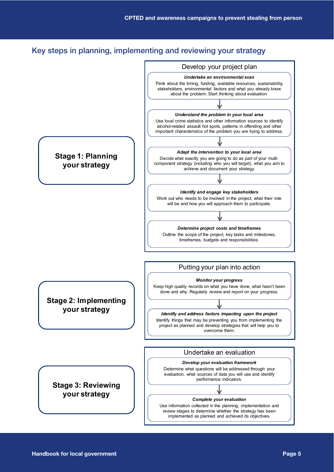#### Key steps in planning, implementing and reviewing your strategy

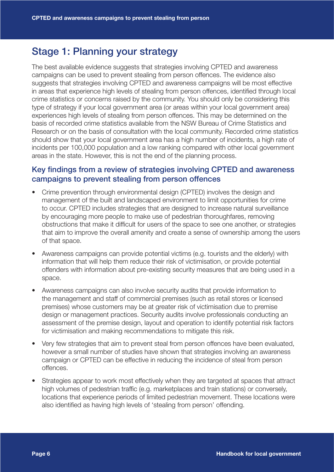### Stage 1: Planning your strategy

The best available evidence suggests that strategies involving CPTED and awareness campaigns can be used to prevent stealing from person offences. The evidence also suggests that strategies involving CPTED and awareness campaigns will be most effective in areas that experience high levels of stealing from person offences, identified through local crime statistics or concerns raised by the community. You should only be considering this type of strategy if your local government area (or areas within your local government area) experiences high levels of stealing from person offences. This may be determined on the basis of recorded crime statistics available from the NSW Bureau of Crime Statistics and Research or on the basis of consultation with the local community. Recorded crime statistics should show that your local government area has a high number of incidents, a high rate of incidents per 100,000 population and a low ranking compared with other local government areas in the state. However, this is not the end of the planning process.

#### Key findings from a review of strategies involving CPTED and awareness campaigns to prevent stealing from person offences

- Crime prevention through environmental design (CPTED) involves the design and management of the built and landscaped environment to limit opportunities for crime to occur. CPTED includes strategies that are designed to increase natural surveillance by encouraging more people to make use of pedestrian thoroughfares, removing obstructions that make it difficult for users of the space to see one another, or strategies that aim to improve the overall amenity and create a sense of ownership among the users of that space.
- Awareness campaigns can provide potential victims (e.g. tourists and the elderly) with information that will help them reduce their risk of victimisation, or provide potential offenders with information about pre-existing security measures that are being used in a space.
- Awareness campaigns can also involve security audits that provide information to the management and staff of commercial premises (such as retail stores or licensed premises) whose customers may be at greater risk of victimisation due to premise design or management practices. Security audits involve professionals conducting an assessment of the premise design, layout and operation to identify potential risk factors for victimisation and making recommendations to mitigate this risk.
- Very few strategies that aim to prevent steal from person offences have been evaluated, however a small number of studies have shown that strategies involving an awareness campaign or CPTED can be effective in reducing the incidence of steal from person offences.
- Strategies appear to work most effectively when they are targeted at spaces that attract high volumes of pedestrian traffic (e.g. marketplaces and train stations) or conversely, locations that experience periods of limited pedestrian movement. These locations were also identified as having high levels of 'stealing from person' offending.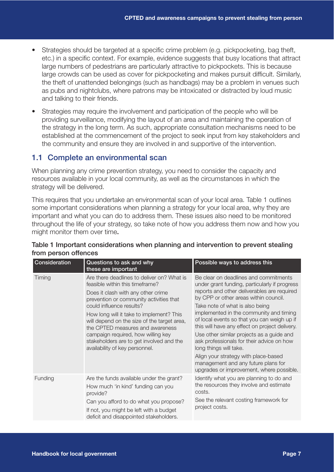- Strategies should be targeted at a specific crime problem (e.g. pickpocketing, bag theft, etc.) in a specific context. For example, evidence suggests that busy locations that attract large numbers of pedestrians are particularly attractive to pickpockets. This is because large crowds can be used as cover for pickpocketing and makes pursuit difficult. Similarly, the theft of unattended belongings (such as handbags) may be a problem in venues such as pubs and nightclubs, where patrons may be intoxicated or distracted by loud music and talking to their friends.
- Strategies may require the involvement and participation of the people who will be providing surveillance, modifying the layout of an area and maintaining the operation of the strategy in the long term. As such, appropriate consultation mechanisms need to be established at the commencement of the project to seek input from key stakeholders and the community and ensure they are involved in and supportive of the intervention.

#### 1.1 Complete an environmental scan

When planning any crime prevention strategy, you need to consider the capacity and resources available in your local community, as well as the circumstances in which the strategy will be delivered.

This requires that you undertake an environmental scan of your local area. Table 1 outlines some important considerations when planning a strategy for your local area, why they are important and what you can do to address them. These issues also need to be monitored throughout the life of your strategy, so take note of how you address them now and how you might monitor them over time.

| Consideration | Questions to ask and why<br>these are important                                                                                                                                                                                                                                                                                                                                                                                               | Possible ways to address this                                                                                                                                                                                                                                                                                                                                                                                                                                                                                                                                                                                |
|---------------|-----------------------------------------------------------------------------------------------------------------------------------------------------------------------------------------------------------------------------------------------------------------------------------------------------------------------------------------------------------------------------------------------------------------------------------------------|--------------------------------------------------------------------------------------------------------------------------------------------------------------------------------------------------------------------------------------------------------------------------------------------------------------------------------------------------------------------------------------------------------------------------------------------------------------------------------------------------------------------------------------------------------------------------------------------------------------|
| Timing        | Are there deadlines to deliver on? What is<br>feasible within this timeframe?<br>Does it clash with any other crime<br>prevention or community activities that<br>could influence results?<br>How long will it take to implement? This<br>will depend on the size of the target area,<br>the CPTED measures and awareness<br>campaign required, how willing key<br>stakeholders are to get involved and the<br>availability of key personnel. | Be clear on deadlines and commitments<br>under grant funding, particularly if progress<br>reports and other deliverables are required<br>by CPP or other areas within council.<br>Take note of what is also being<br>implemented in the community and timing<br>of local events so that you can weigh up if<br>this will have any effect on project delivery.<br>Use other similar projects as a guide and<br>ask professionals for their advice on how<br>long things will take.<br>Align your strategy with place-based<br>management and any future plans for<br>upgrades or improvement, where possible. |
| Funding       | Are the funds available under the grant?<br>How much 'in kind' funding can you<br>provide?<br>Can you afford to do what you propose?<br>If not, you might be left with a budget<br>deficit and disappointed stakeholders.                                                                                                                                                                                                                     | Identify what you are planning to do and<br>the resources they involve and estimate<br>costs.<br>See the relevant costing framework for<br>project costs.                                                                                                                                                                                                                                                                                                                                                                                                                                                    |

#### Table 1 Important considerations when planning and intervention to prevent stealing from person offences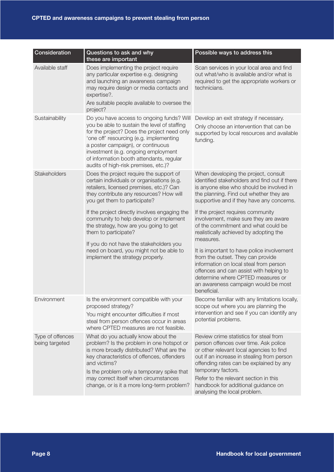| Consideration                      | Questions to ask and why<br>these are important                                                                                                                                                                                                                                                                                                     | Possible ways to address this                                                                                                                                                                                                                                                                                                                                                                                                               |
|------------------------------------|-----------------------------------------------------------------------------------------------------------------------------------------------------------------------------------------------------------------------------------------------------------------------------------------------------------------------------------------------------|---------------------------------------------------------------------------------------------------------------------------------------------------------------------------------------------------------------------------------------------------------------------------------------------------------------------------------------------------------------------------------------------------------------------------------------------|
| Available staff                    | Does implementing the project require<br>any particular expertise e.g. designing<br>and launching an awareness campaign<br>may require design or media contacts and<br>expertise?.<br>Are suitable people available to oversee the<br>project?                                                                                                      | Scan services in your local area and find<br>out what/who is available and/or what is<br>required to get the appropriate workers or<br>technicians.                                                                                                                                                                                                                                                                                         |
| Sustainability                     | Do you have access to ongoing funds? Will<br>you be able to sustain the level of staffing<br>for the project? Does the project need only<br>'one off' resourcing (e.g. implementing<br>a poster campaign), or continuous<br>investment (e.g. ongoing employment<br>of information booth attendants, regular<br>audits of high-risk premises, etc.)? | Develop an exit strategy if necessary.<br>Only choose an intervention that can be<br>supported by local resources and available<br>funding.                                                                                                                                                                                                                                                                                                 |
| Stakeholders                       | Does the project require the support of<br>certain individuals or organisations (e.g.<br>retailers, licensed premises, etc.)? Can<br>they contribute any resources? How will<br>you get them to participate?                                                                                                                                        | When developing the project, consult<br>identified stakeholders and find out if there<br>is anyone else who should be involved in<br>the planning. Find out whether they are<br>supportive and if they have any concerns.                                                                                                                                                                                                                   |
|                                    | If the project directly involves engaging the<br>community to help develop or implement<br>the strategy, how are you going to get<br>them to participate?<br>If you do not have the stakeholders you<br>need on board, you might not be able to<br>implement the strategy properly.                                                                 | If the project requires community<br>involvement, make sure they are aware<br>of the commitment and what could be<br>realistically achieved by adopting the<br>measures.<br>It is important to have police involvement<br>from the outset. They can provide<br>information on local steal from person<br>offences and can assist with helping to<br>determine where CPTED measures or<br>an awareness campaign would be most<br>beneficial. |
| Environment                        | Is the environment compatible with your<br>proposed strategy?<br>You might encounter difficulties if most<br>steal from person offences occur in areas<br>where CPTED measures are not feasible.                                                                                                                                                    | Become familiar with any limitations locally,<br>scope out where you are planning the<br>intervention and see if you can identify any<br>potential problems.                                                                                                                                                                                                                                                                                |
| Type of offences<br>being targeted | What do you actually know about the<br>problem? Is the problem in one hotspot or<br>is more broadly distributed? What are the<br>key characteristics of offences, offenders<br>and victims?<br>Is the problem only a temporary spike that<br>may correct itself when circumstances<br>change, or is it a more long-term problem?                    | Review crime statistics for steal from<br>person offences over time. Ask police<br>or other relevant local agencies to find<br>out if an increase in stealing from person<br>offending rates can be explained by any<br>temporary factors.<br>Refer to the relevant section in this<br>handbook for additional guidance on<br>analysing the local problem.                                                                                  |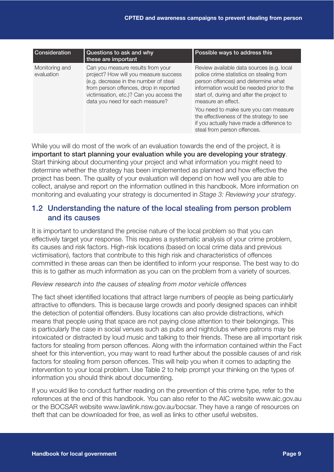| <b>Consideration</b>         | Questions to ask and why<br>these are important                                                                                                                                                                                              | Possible ways to address this                                                                                                                                                                                                                                                                                                                                                                                |
|------------------------------|----------------------------------------------------------------------------------------------------------------------------------------------------------------------------------------------------------------------------------------------|--------------------------------------------------------------------------------------------------------------------------------------------------------------------------------------------------------------------------------------------------------------------------------------------------------------------------------------------------------------------------------------------------------------|
| Monitoring and<br>evaluation | Can you measure results from your<br>project? How will you measure success<br>(e.g. decrease in the number of steal<br>from person offences, drop in reported<br>victimisation, etc.)? Can you access the<br>data you need for each measure? | Review available data sources (e.g. local<br>police crime statistics on stealing from<br>person offences) and determine what<br>information would be needed prior to the<br>start of, during and after the project to<br>measure an effect.<br>You need to make sure you can measure<br>the effectiveness of the strategy to see<br>if you actually have made a difference to<br>steal from person offences. |

While you will do most of the work of an evaluation towards the end of the project, it is important to start planning your evaluation while you are developing your strategy. Start thinking about documenting your project and what information you might need to determine whether the strategy has been implemented as planned and how effective the project has been. The quality of your evaluation will depend on how well you are able to collect, analyse and report on the information outlined in this handbook. More information on monitoring and evaluating your strategy is documented in *Stage 3: Reviewing your strategy*.

#### 1.2 Understanding the nature of the local stealing from person problem and its causes

It is important to understand the precise nature of the local problem so that you can effectively target your response. This requires a systematic analysis of your crime problem, its causes and risk factors. High-risk locations (based on local crime data and previous victimisation), factors that contribute to this high risk and characteristics of offences committed in these areas can then be identified to inform your response. The best way to do this is to gather as much information as you can on the problem from a variety of sources.

#### *Review research into the causes of stealing from motor vehicle offences*

The fact sheet identified locations that attract large numbers of people as being particularly attractive to offenders. This is because large crowds and poorly designed spaces can inhibit the detection of potential offenders. Busy locations can also provide distractions, which means that people using that space are not paying close attention to their belongings. This is particularly the case in social venues such as pubs and nightclubs where patrons may be intoxicated or distracted by loud music and talking to their friends. These are all important risk factors for stealing from person offences. Along with the information contained within the Fact sheet for this intervention, you may want to read further about the possible causes of and risk factors for stealing from person offences. This will help you when it comes to adapting the intervention to your local problem. Use Table 2 to help prompt your thinking on the types of information you should think about documenting.

If you would like to conduct further reading on the prevention of this crime type, refer to the references at the end of this handbook. You can also refer to the AIC website www.aic.gov.au or the BOCSAR website www.lawlink.nsw.gov.au/bocsar. They have a range of resources on theft that can be downloaded for free, as well as links to other useful websites.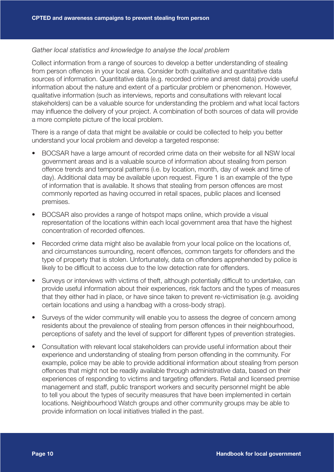#### *Gather local statistics and knowledge to analyse the local problem*

Collect information from a range of sources to develop a better understanding of stealing from person offences in your local area. Consider both qualitative and quantitative data sources of information. Quantitative data (e.g. recorded crime and arrest data) provide useful information about the nature and extent of a particular problem or phenomenon. However, qualitative information (such as interviews, reports and consultations with relevant local stakeholders) can be a valuable source for understanding the problem and what local factors may influence the delivery of your project. A combination of both sources of data will provide a more complete picture of the local problem.

There is a range of data that might be available or could be collected to help you better understand your local problem and develop a targeted response:

- BOCSAR have a large amount of recorded crime data on their website for all NSW local government areas and is a valuable source of information about stealing from person offence trends and temporal patterns (i.e. by location, month, day of week and time of day). Additional data may be available upon request. Figure 1 is an example of the type of information that is available. It shows that stealing from person offences are most commonly reported as having occurred in retail spaces, public places and licensed premises.
- BOCSAR also provides a range of hotspot maps online, which provide a visual representation of the locations within each local government area that have the highest concentration of recorded offences.
- Recorded crime data might also be available from your local police on the locations of, and circumstances surrounding, recent offences, common targets for offenders and the type of property that is stolen. Unfortunately, data on offenders apprehended by police is likely to be difficult to access due to the low detection rate for offenders.
- Surveys or interviews with victims of theft, although potentially difficult to undertake, can provide useful information about their experiences, risk factors and the types of measures that they either had in place, or have since taken to prevent re-victimisation (e.g. avoiding certain locations and using a handbag with a cross-body strap).
- Surveys of the wider community will enable you to assess the degree of concern among residents about the prevalence of stealing from person offences in their neighbourhood, perceptions of safety and the level of support for different types of prevention strategies.
- Consultation with relevant local stakeholders can provide useful information about their experience and understanding of stealing from person offending in the community. For example, police may be able to provide additional information about stealing from person offences that might not be readily available through administrative data, based on their experiences of responding to victims and targeting offenders. Retail and licensed premise management and staff, public transport workers and security personnel might be able to tell you about the types of security measures that have been implemented in certain locations. Neighbourhood Watch groups and other community groups may be able to provide information on local initiatives trialled in the past.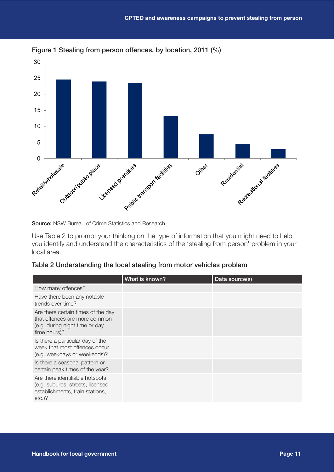



Source: NSW Bureau of Crime Statistics and Research

Use Table 2 to prompt your thinking on the type of information that you might need to help you identify and understand the characteristics of the 'stealing from person' problem in your local area.

#### Table 2 Understanding the local stealing from motor vehicles problem

|                                                                                                                       | What is known? | Data source(s) |
|-----------------------------------------------------------------------------------------------------------------------|----------------|----------------|
| How many offences?                                                                                                    |                |                |
| Have there been any notable<br>trends over time?                                                                      |                |                |
| Are there certain times of the day<br>that offences are more common<br>(e.g. during night time or day<br>time hours)? |                |                |
| Is there a particular day of the<br>week that most offences occur<br>(e.g. weekdays or weekends)?                     |                |                |
| Is there a seasonal pattern or<br>certain peak times of the year?                                                     |                |                |
| Are there identifiable hotspots<br>(e.g. suburbs, streets, licensed<br>establishments, train stations,<br>$etc.$ )?   |                |                |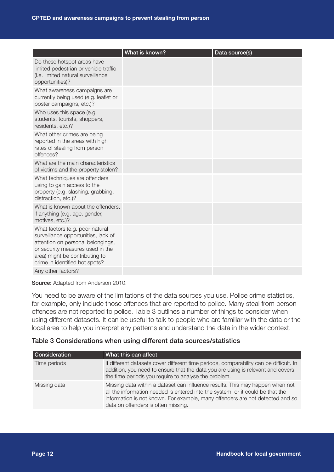|                                                                                                                                                                                                                     | What is known? | Data source(s) |
|---------------------------------------------------------------------------------------------------------------------------------------------------------------------------------------------------------------------|----------------|----------------|
| Do these hotspot areas have<br>limited pedestrian or vehicle traffic<br>(i.e. limited natural surveillance<br>opportunities)?                                                                                       |                |                |
| What awareness campaigns are<br>currently being used (e.g. leaflet or<br>poster campaigns, etc.)?                                                                                                                   |                |                |
| Who uses this space (e.g.<br>students, tourists, shoppers,<br>residents, etc.)?                                                                                                                                     |                |                |
| What other crimes are being<br>reported in the areas with high<br>rates of stealing from person<br>offences?                                                                                                        |                |                |
| What are the main characteristics<br>of victims and the property stolen?                                                                                                                                            |                |                |
| What techniques are offenders<br>using to gain access to the<br>property (e.g. slashing, grabbing,<br>distraction, etc.)?                                                                                           |                |                |
| What is known about the offenders,<br>if anything (e.g. age, gender,<br>motives, etc.)?                                                                                                                             |                |                |
| What factors (e.g. poor natural<br>surveillance opportunities, lack of<br>attention on personal belongings,<br>or security measures used in the<br>area) might be contributing to<br>crime in identified hot spots? |                |                |
| Any other factors?                                                                                                                                                                                                  |                |                |

Source: Adapted from Anderson 2010.

You need to be aware of the limitations of the data sources you use. Police crime statistics, for example, only include those offences that are reported to police. Many steal from person offences are not reported to police. Table 3 outlines a number of things to consider when using different datasets. It can be useful to talk to people who are familiar with the data or the local area to help you interpret any patterns and understand the data in the wider context.

#### Table 3 Considerations when using different data sources/statistics

| <b>Consideration</b> | What this can affect                                                                                                                                                                                                                                                                    |
|----------------------|-----------------------------------------------------------------------------------------------------------------------------------------------------------------------------------------------------------------------------------------------------------------------------------------|
| Time periods         | If different datasets cover different time periods, comparability can be difficult. In<br>addition, you need to ensure that the data you are using is relevant and covers<br>the time periods you require to analyse the problem.                                                       |
| Missing data         | Missing data within a dataset can influence results. This may happen when not<br>all the information needed is entered into the system, or it could be that the<br>information is not known. For example, many offenders are not detected and so<br>data on offenders is often missing. |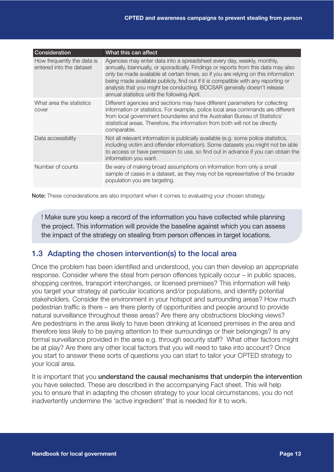| Consideration                                          | What this can affect                                                                                                                                                                                                                                                                                                                                                                                                                                               |
|--------------------------------------------------------|--------------------------------------------------------------------------------------------------------------------------------------------------------------------------------------------------------------------------------------------------------------------------------------------------------------------------------------------------------------------------------------------------------------------------------------------------------------------|
| How frequently the data is<br>entered into the dataset | Agencies may enter data into a spreadsheet every day, weekly, monthly,<br>annually, biannually, or sporadically. Findings or reports from this data may also<br>only be made available at certain times, so if you are relying on this information<br>being made available publicly, find out if it is compatible with any reporting or<br>analysis that you might be conducting. BOCSAR generally doesn't release<br>annual statistics until the following April. |
| What area the statistics<br>cover                      | Different agencies and sections may have different parameters for collecting<br>information or statistics. For example, police local area commands are different<br>from local government boundaries and the Australian Bureau of Statistics'<br>statistical areas. Therefore, the information from both will not be directly<br>comparable.                                                                                                                       |
| Data accessibility                                     | Not all relevant information is publically available (e.g. some police statistics,<br>including victim and offender information). Some datasets you might not be able<br>to access or have permission to use, so find out in advance if you can obtain the<br>information you want.                                                                                                                                                                                |
| Number of counts                                       | Be wary of making broad assumptions on information from only a small<br>sample of cases in a dataset, as they may not be representative of the broader<br>population you are targeting.                                                                                                                                                                                                                                                                            |

Note: These considerations are also important when it comes to evaluating your chosen strategy.

! Make sure you keep a record of the information you have collected while planning the project. This information will provide the baseline against which you can assess the impact of the strategy on stealing from person offences in target locations.

#### 1.3 Adapting the chosen intervention(s) to the local area

Once the problem has been identified and understood, you can then develop an appropriate response. Consider where the steal from person offences typically occur – in public spaces, shopping centres, transport interchanges, or licensed premises? This information will help you target your strategy at particular locations and/or populations, and identify potential stakeholders. Consider the environment in your hotspot and surrounding areas? How much pedestrian traffic is there – are there plenty of opportunities and people around to provide natural surveillance throughout these areas? Are there any obstructions blocking views? Are pedestrians in the area likely to have been drinking at licensed premises in the area and therefore less likely to be paying attention to their surroundings or their belongings? Is any formal surveillance provided in the area e.g. through security staff? What other factors might be at play? Are there any other local factors that you will need to take into account? Once you start to answer these sorts of questions you can start to tailor your CPTED strategy to your local area.

It is important that you understand the causal mechanisms that underpin the intervention you have selected. These are described in the accompanying Fact sheet. This will help you to ensure that in adapting the chosen strategy to your local circumstances, you do not inadvertently undermine the 'active ingredient' that is needed for it to work.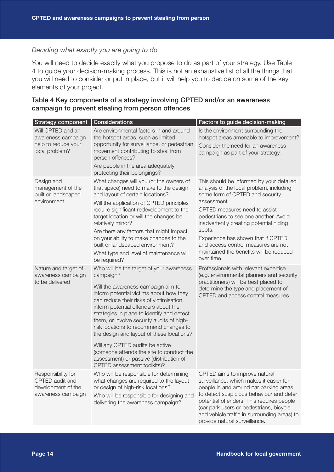#### *Deciding what exactly you are going to do*

You will need to decide exactly what you propose to do as part of your strategy. Use Table 4 to guide your decision-making process. This is not an exhaustive list of all the things that you will need to consider or put in place, but it will help you to decide on some of the key elements of your project.

| Table 4 Key components of a strategy involving CPTED and/or an awareness |  |
|--------------------------------------------------------------------------|--|
| campaign to prevent stealing from person offences                        |  |

| Strategy component Considerations                                                 |                                                                                                                                                                                                                                                                                                                                                                                                                                                                                                                                                                       | Factors to guide decision-making                                                                                                                                                                                                                                                                                                                                                                            |
|-----------------------------------------------------------------------------------|-----------------------------------------------------------------------------------------------------------------------------------------------------------------------------------------------------------------------------------------------------------------------------------------------------------------------------------------------------------------------------------------------------------------------------------------------------------------------------------------------------------------------------------------------------------------------|-------------------------------------------------------------------------------------------------------------------------------------------------------------------------------------------------------------------------------------------------------------------------------------------------------------------------------------------------------------------------------------------------------------|
| Will CPTED and an<br>awareness campaign<br>help to reduce your<br>local problem?  | Are environmental factors in and around<br>the hotspot areas, such as limited<br>opportunity for surveillance, or pedestrian<br>movement contributing to steal from<br>person offences?<br>Are people in the area adequately<br>protecting their belongings?                                                                                                                                                                                                                                                                                                          | Is the environment surrounding the<br>hotspot areas amenable to improvement?<br>Consider the need for an awareness<br>campaign as part of your strategy.                                                                                                                                                                                                                                                    |
| Design and<br>management of the<br>built or landscaped<br>environment             | What changes will you (or the owners of<br>that space) need to make to the design<br>and layout of certain locations?<br>Will the application of CPTED principles<br>require significant redevelopment to the<br>target location or will the changes be<br>relatively minor?<br>Are there any factors that might impact<br>on your ability to make changes to the<br>built or landscaped environment?<br>What type and level of maintenance will<br>be required?                                                                                                      | This should be informed by your detailed<br>analysis of the local problem, including<br>some form of CPTED and security<br>assessment.<br>CPTED measures need to assist<br>pedestrians to see one another. Avoid<br>inadvertently creating potential hiding<br>spots.<br>Experience has shown that if CPTED<br>and access control measures are not<br>maintained the benefits will be reduced<br>over time. |
| Nature and target of<br>awareness campaign<br>to be delivered                     | Who will be the target of your awareness<br>campaign?<br>Will the awareness campaign aim to<br>inform potential victims about how they<br>can reduce their risks of victimisation,<br>inform potential offenders about the<br>strategies in place to identify and detect<br>them, or involve security audits of high-<br>risk locations to recommend changes to<br>the design and layout of these locations?<br>Will any CPTED audits be active<br>(someone attends the site to conduct the<br>assessment) or passive (distribution of<br>CPTED assessment toolkits)? | Professionals with relevant expertise<br>(e.g. environmental planners and security<br>practitioners) will be best placed to<br>determine the type and placement of<br>CPTED and access control measures.                                                                                                                                                                                                    |
| Responsibility for<br>CPTED audit and<br>development of the<br>awareness campaign | Who will be responsible for determining<br>what changes are required to the layout<br>or design of high-risk locations?<br>Who will be responsible for designing and<br>delivering the awareness campaign?                                                                                                                                                                                                                                                                                                                                                            | CPTED aims to improve natural<br>surveillance, which makes it easier for<br>people in and around car parking areas<br>to detect suspicious behaviour and deter<br>potential offenders. This requires people<br>(car park users or pedestrians, bicycle<br>and vehicle traffic in surrounding areas) to<br>provide natural surveillance.                                                                     |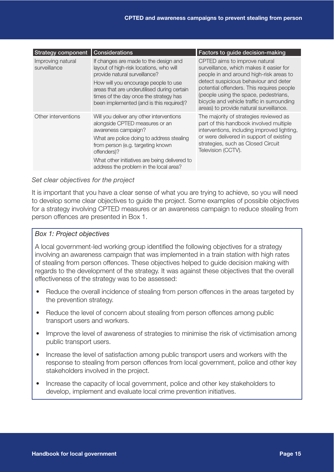| <b>Strategy component</b>         | Considerations                                                                                                                                                                                                                                                                                 | Factors to guide decision-making                                                                                                                                                                                                                                                                                                            |
|-----------------------------------|------------------------------------------------------------------------------------------------------------------------------------------------------------------------------------------------------------------------------------------------------------------------------------------------|---------------------------------------------------------------------------------------------------------------------------------------------------------------------------------------------------------------------------------------------------------------------------------------------------------------------------------------------|
| Improving natural<br>surveillance | If changes are made to the design and<br>layout of high-risk locations, who will<br>provide natural surveillance?<br>How will you encourage people to use<br>areas that are underutilised during certain<br>times of the day once the strategy has<br>been implemented (and is this required)? | CPTED aims to improve natural<br>surveillance, which makes it easier for<br>people in and around high-risk areas to<br>detect suspicious behaviour and deter<br>potential offenders. This requires people<br>(people using the space, pedestrians,<br>bicycle and vehicle traffic in surrounding<br>areas) to provide natural surveillance. |
| Other interventions               | Will you deliver any other interventions<br>alongside CPTED measures or an<br>awareness campaign?<br>What are police doing to address stealing<br>from person (e.g. targeting known<br>offenders)?<br>What other initiatives are being delivered to<br>address the problem in the local area?  | The majority of strategies reviewed as<br>part of this handbook involved multiple<br>interventions, including improved lighting,<br>or were delivered in support of existing<br>strategies, such as Closed Circuit<br>Television (CCTV).                                                                                                    |

#### *Set clear objectives for the project*

It is important that you have a clear sense of what you are trying to achieve, so you will need to develop some clear objectives to guide the project. Some examples of possible objectives for a strategy involving CPTED measures or an awareness campaign to reduce stealing from person offences are presented in Box 1.

#### *Box 1: Project objectives*

A local government-led working group identified the following objectives for a strategy involving an awareness campaign that was implemented in a train station with high rates of stealing from person offences. These objectives helped to guide decision making with regards to the development of the strategy. It was against these objectives that the overall effectiveness of the strategy was to be assessed:

- Reduce the overall incidence of stealing from person offences in the areas targeted by the prevention strategy.
- Reduce the level of concern about stealing from person offences among public transport users and workers.
- Improve the level of awareness of strategies to minimise the risk of victimisation among public transport users.
- Increase the level of satisfaction among public transport users and workers with the response to stealing from person offences from local government, police and other key stakeholders involved in the project.
- Increase the capacity of local government, police and other key stakeholders to develop, implement and evaluate local crime prevention initiatives.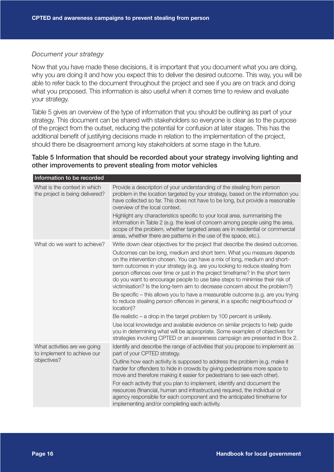#### *Document your strategy*

Now that you have made these decisions, it is important that you document what you are doing, why you are doing it and how you expect this to deliver the desired outcome. This way, you will be able to refer back to the document throughout the project and see if you are on track and doing what you proposed. This information is also useful when it comes time to review and evaluate your strategy.

Table 5 gives an overview of the type of information that you should be outlining as part of your strategy. This document can be shared with stakeholders so everyone is clear as to the purpose of the project from the outset, reducing the potential for confusion at later stages. This has the additional benefit of justifying decisions made in relation to the implementation of the project, should there be disagreement among key stakeholders at some stage in the future.

#### Table 5 Information that should be recorded about your strategy involving lighting and other improvements to prevent stealing from motor vehicles

| Information to be recorded                                                 |                                                                                                                                                                                                                                                                                                                                                                                                                                                                                                                                                                                                                                                       |
|----------------------------------------------------------------------------|-------------------------------------------------------------------------------------------------------------------------------------------------------------------------------------------------------------------------------------------------------------------------------------------------------------------------------------------------------------------------------------------------------------------------------------------------------------------------------------------------------------------------------------------------------------------------------------------------------------------------------------------------------|
| What is the context in which<br>the project is being delivered?            | Provide a description of your understanding of the stealing from person<br>problem in the location targeted by your strategy, based on the information you<br>have collected so far. This does not have to be long, but provide a reasonable<br>overview of the local context.                                                                                                                                                                                                                                                                                                                                                                        |
|                                                                            | Highlight any characteristics specific to your local area, summarising the<br>information in Table 2 (e.g. the level of concern among people using the area,<br>scope of the problem, whether targeted areas are in residential or commercial<br>areas, whether there are patterns in the use of the space, etc.).                                                                                                                                                                                                                                                                                                                                    |
| What do we want to achieve?                                                | Write down clear objectives for the project that describe the desired outcomes.                                                                                                                                                                                                                                                                                                                                                                                                                                                                                                                                                                       |
|                                                                            | Outcomes can be long, medium and short term. What you measure depends<br>on the intervention chosen. You can have a mix of long, medium and short-<br>term outcomes in your strategy (e.g. are you looking to reduce stealing from<br>person offences over time or just in the project timeframe? In the short term<br>do you want to encourage people to use take steps to minimise their risk of<br>victimisation? Is the long-term aim to decrease concern about the problem?)<br>Be specific – this allows you to have a measurable outcome (e.g. are you trying<br>to reduce stealing person offences in general, in a specific neighbourhood or |
|                                                                            | location)?                                                                                                                                                                                                                                                                                                                                                                                                                                                                                                                                                                                                                                            |
|                                                                            | Be realistic $-$ a drop in the target problem by 100 percent is unlikely.                                                                                                                                                                                                                                                                                                                                                                                                                                                                                                                                                                             |
|                                                                            | Use local knowledge and available evidence on similar projects to help guide<br>you in determining what will be appropriate. Some examples of objectives for<br>strategies involving CPTED or an awareness campaign are presented in Box 2.                                                                                                                                                                                                                                                                                                                                                                                                           |
| What activities are we going<br>to implement to achieve our<br>objectives? | Identify and describe the range of activities that you propose to implement as<br>part of your CPTED strategy.                                                                                                                                                                                                                                                                                                                                                                                                                                                                                                                                        |
|                                                                            | Outline how each activity is supposed to address the problem (e.g. make it<br>harder for offenders to hide in crowds by giving pedestrians more space to<br>move and therefore making it easier for pedestrians to see each other).                                                                                                                                                                                                                                                                                                                                                                                                                   |
|                                                                            | For each activity that you plan to implement, identify and document the<br>resources (financial, human and infrastructure) required, the individual or<br>agency responsible for each component and the anticipated timeframe for<br>implementing and/or completing each activity.                                                                                                                                                                                                                                                                                                                                                                    |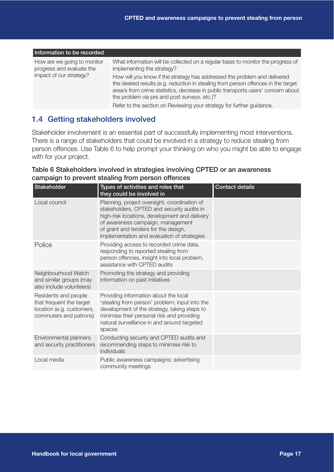| Information to be recorded                                                          |                                                                                                                                                                                                                                                                                                                                                                                                                       |
|-------------------------------------------------------------------------------------|-----------------------------------------------------------------------------------------------------------------------------------------------------------------------------------------------------------------------------------------------------------------------------------------------------------------------------------------------------------------------------------------------------------------------|
| How are we going to monitor<br>progress and evaluate the<br>impact of our strategy? | What information will be collected on a regular basis to monitor the progress of<br>implementing the strategy?<br>How will you know if the strategy has addressed the problem and delivered<br>the desired results (e.g. reduction in stealing from person offences in the target<br>area/s from crime statistics, decrease in public transports users' concern about<br>the problem via pre and post surveys, etc.)? |
|                                                                                     | Refer to the section on Reviewing your strategy for further guidance.                                                                                                                                                                                                                                                                                                                                                 |

#### 1.4 Getting stakeholders involved

Stakeholder involvement is an essential part of successfully implementing most interventions. There is a range of stakeholders that could be involved in a strategy to reduce stealing from person offences. Use Table 6 to help prompt your thinking on who you might be able to engage with for your project.

#### Table 6 Stakeholders involved in strategies involving CPTED or an awareness campaign to prevent stealing from person offences

| Stakeholder                                                                                             | Types of activities and roles that<br>they could be involved in                                                                                                                                                                                                         | <b>Contact details</b> |
|---------------------------------------------------------------------------------------------------------|-------------------------------------------------------------------------------------------------------------------------------------------------------------------------------------------------------------------------------------------------------------------------|------------------------|
| Local council                                                                                           | Planning, project oversight, coordination of<br>stakeholders, CPTED and security audits in<br>high-risk locations, development and delivery<br>of awareness campaign, management<br>of grant and tenders for the design,<br>implementation and evaluation of strategies |                        |
| Police                                                                                                  | Providing access to recorded crime data,<br>responding to reported stealing from<br>person offences, insight into local problem,<br>assistance with CPTED audits                                                                                                        |                        |
| Neighbourhood Watch<br>and similar groups (may<br>also include volunteers)                              | Promoting the strategy and providing<br>information on past initiatives                                                                                                                                                                                                 |                        |
| Residents and people<br>that frequent the target<br>location (e.g. customers,<br>commuters and patrons) | Providing information about the local<br>'stealing from person' problem; input into the<br>development of the strategy, taking steps to<br>minimise their personal risk and providing<br>natural surveillance in and around targeted<br>spaces                          |                        |
| Environmental planners<br>and security practitioners                                                    | Conducting security and CPTED audits and<br>recommending steps to minimise risk to<br>individuals                                                                                                                                                                       |                        |
| Local media                                                                                             | Public awareness campaigns; advertising<br>community meetings                                                                                                                                                                                                           |                        |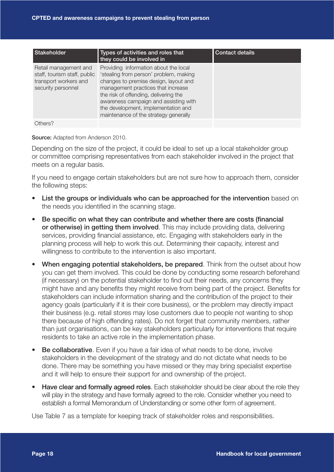| <b>Stakeholder</b>                                                                                   | Types of activities and roles that<br>they could be involved in                                                                                                                                                                                                                                                                  | <b>Contact details</b> |
|------------------------------------------------------------------------------------------------------|----------------------------------------------------------------------------------------------------------------------------------------------------------------------------------------------------------------------------------------------------------------------------------------------------------------------------------|------------------------|
| Retail management and<br>staff, tourism staff, public<br>transport workers and<br>security personnel | Providing information about the local<br>'stealing from person' problem, making<br>changes to premise design, layout and<br>management practices that increase<br>the risk of offending, delivering the<br>awareness campaign and assisting with<br>the development, implementation and<br>maintenance of the strategy generally |                        |
| Others?                                                                                              |                                                                                                                                                                                                                                                                                                                                  |                        |

#### Source: Adapted from Anderson 2010.

Depending on the size of the project, it could be ideal to set up a local stakeholder group or committee comprising representatives from each stakeholder involved in the project that meets on a regular basis.

If you need to engage certain stakeholders but are not sure how to approach them, consider the following steps:

- List the groups or individuals who can be approached for the intervention based on the needs you identified in the scanning stage.
- Be specific on what they can contribute and whether there are costs (financial or otherwise) in getting them involved. This may include providing data, delivering services, providing financial assistance, etc. Engaging with stakeholders early in the planning process will help to work this out. Determining their capacity, interest and willingness to contribute to the intervention is also important.
- **When engaging potential stakeholders, be prepared**. Think from the outset about how you can get them involved. This could be done by conducting some research beforehand (if necessary) on the potential stakeholder to find out their needs, any concerns they might have and any benefits they might receive from being part of the project. Benefits for stakeholders can include information sharing and the contribution of the project to their agency goals (particularly if it is their core business), or the problem may directly impact their business (e.g. retail stores may lose customers due to people not wanting to shop there because of high offending rates). Do not forget that community members, rather than just organisations, can be key stakeholders particularly for interventions that require residents to take an active role in the implementation phase.
- Be collaborative. Even if you have a fair idea of what needs to be done, involve stakeholders in the development of the strategy and do not dictate what needs to be done. There may be something you have missed or they may bring specialist expertise and it will help to ensure their support for and ownership of the project.
- Have clear and formally agreed roles. Each stakeholder should be clear about the role they will play in the strategy and have formally agreed to the role. Consider whether you need to establish a formal Memorandum of Understanding or some other form of agreement.

Use Table 7 as a template for keeping track of stakeholder roles and responsibilities.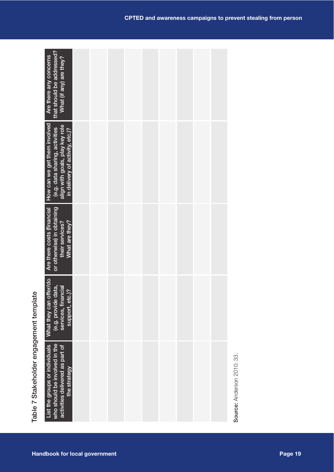| who should be involved in the<br>List the groups or individuals<br>activities delivered as part of<br>the strategy                   |  |  |  | Source: Anderson 2010: 33. |  |
|--------------------------------------------------------------------------------------------------------------------------------------|--|--|--|----------------------------|--|
| offer/do<br>data,<br>services, financial<br>support, etc.)?<br>(e.g. provide<br>What they can                                        |  |  |  |                            |  |
| or otherwise) in obtaining<br>Are there costs (financial<br>their services?<br>What are they?                                        |  |  |  |                            |  |
| How can we get them involved<br>align with goals, play key role<br>(e.g. data sharing, activities<br>in delivery of activity, etc.)? |  |  |  |                            |  |
| that should be addressed?<br>Are there any concerns<br>What (if any) are they?                                                       |  |  |  |                            |  |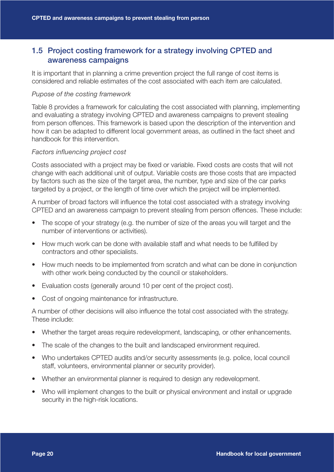#### 1.5 Project costing framework for a strategy involving CPTED and awareness campaigns

It is important that in planning a crime prevention project the full range of cost items is considered and reliable estimates of the cost associated with each item are calculated.

#### *Pupose of the costing framework*

Table 8 provides a framework for calculating the cost associated with planning, implementing and evaluating a strategy involving CPTED and awareness campaigns to prevent stealing from person offences. This framework is based upon the description of the intervention and how it can be adapted to different local government areas, as outlined in the fact sheet and handbook for this intervention.

#### *Factors influencing project cost*

Costs associated with a project may be fixed or variable. Fixed costs are costs that will not change with each additional unit of output. Variable costs are those costs that are impacted by factors such as the size of the target area, the number, type and size of the car parks targeted by a project, or the length of time over which the project will be implemented.

A number of broad factors will influence the total cost associated with a strategy involving CPTED and an awareness campaign to prevent stealing from person offences. These include:

- The scope of your strategy (e.g. the number of size of the areas you will target and the number of interventions or activities).
- How much work can be done with available staff and what needs to be fulfilled by contractors and other specialists.
- How much needs to be implemented from scratch and what can be done in conjunction with other work being conducted by the council or stakeholders.
- Evaluation costs (generally around 10 per cent of the project cost).
- Cost of ongoing maintenance for infrastructure.

A number of other decisions will also influence the total cost associated with the strategy. These include:

- Whether the target areas require redevelopment, landscaping, or other enhancements.
- The scale of the changes to the built and landscaped environment required.
- Who undertakes CPTED audits and/or security assessments (e.g. police, local council staff, volunteers, environmental planner or security provider).
- Whether an environmental planner is required to design any redevelopment.
- Who will implement changes to the built or physical environment and install or upgrade security in the high-risk locations.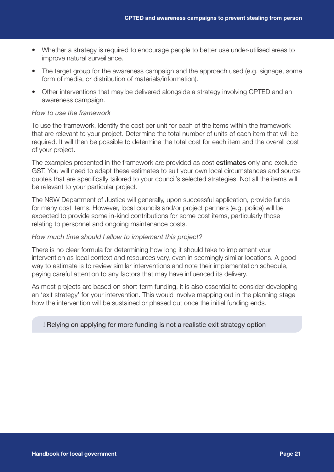- Whether a strategy is required to encourage people to better use under-utilised areas to improve natural surveillance.
- The target group for the awareness campaign and the approach used (e.g. signage, some form of media, or distribution of materials/information).
- Other interventions that may be delivered alongside a strategy involving CPTED and an awareness campaign.

#### *How to use the framework*

To use the framework, identify the cost per unit for each of the items within the framework that are relevant to your project. Determine the total number of units of each item that will be required. It will then be possible to determine the total cost for each item and the overall cost of your project.

The examples presented in the framework are provided as cost estimates only and exclude GST. You will need to adapt these estimates to suit your own local circumstances and source quotes that are specifically tailored to your council's selected strategies. Not all the items will be relevant to your particular project.

The NSW Department of Justice will generally, upon successful application, provide funds for many cost items. However, local councils and/or project partners (e.g. police) will be expected to provide some in-kind contributions for some cost items, particularly those relating to personnel and ongoing maintenance costs.

#### *How much time should I allow to implement this project?*

There is no clear formula for determining how long it should take to implement your intervention as local context and resources vary, even in seemingly similar locations. A good way to estimate is to review similar interventions and note their implementation schedule, paying careful attention to any factors that may have influenced its delivery.

As most projects are based on short-term funding, it is also essential to consider developing an 'exit strategy' for your intervention. This would involve mapping out in the planning stage how the intervention will be sustained or phased out once the initial funding ends.

#### ! Relying on applying for more funding is not a realistic exit strategy option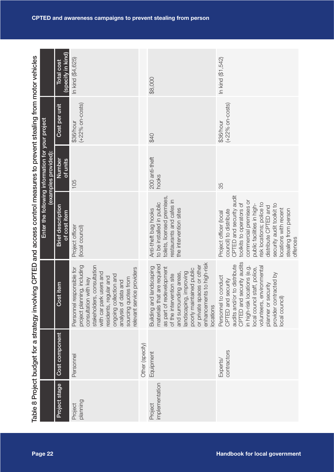|                                                                                                                           |                                                  | (specify in kind)<br><b>Total cost</b>   | In kind (\$4,625)                                                                                                                                                                                                                                                            |                 | \$8,000                                                                                                                                                                                                                                                                 | In kind (\$1,542)                                                                                                                                                                                                                                                                                               |
|---------------------------------------------------------------------------------------------------------------------------|--------------------------------------------------|------------------------------------------|------------------------------------------------------------------------------------------------------------------------------------------------------------------------------------------------------------------------------------------------------------------------------|-----------------|-------------------------------------------------------------------------------------------------------------------------------------------------------------------------------------------------------------------------------------------------------------------------|-----------------------------------------------------------------------------------------------------------------------------------------------------------------------------------------------------------------------------------------------------------------------------------------------------------------|
|                                                                                                                           |                                                  | Cost per unit                            | $(+22%$ on-costs)<br>\$36/hour                                                                                                                                                                                                                                               |                 | \$40                                                                                                                                                                                                                                                                    | $(+22%$ on-costs)<br>\$36/hour                                                                                                                                                                                                                                                                                  |
|                                                                                                                           | examples provided):                              | Number<br>of units                       | 105                                                                                                                                                                                                                                                                          |                 | 200 anti-theft<br>hooks                                                                                                                                                                                                                                                 | 35                                                                                                                                                                                                                                                                                                              |
|                                                                                                                           | Enter the following information for your project | <b>Brief description</b><br>of cost item | Project officer<br>(local council)                                                                                                                                                                                                                                           |                 | toilets, licensed premises,<br>restaurants and cafes in<br>to be installed in public<br>the intervention sites<br>Anti-theft bag hooks                                                                                                                                  | CPTED and security audit<br>commercial premises or<br>risk locations; police to<br>toolkits to operators of<br>public facilities in high-<br>security audit toolkit to<br>distribute CPTED and<br>locations with recent<br>stealing from person<br>council) to distribute<br>Project officer (local<br>offences |
| Table 8 Project budget for a strategy involving CPTED and access control measures to prevent stealing from motor vehicles |                                                  | Cost item                                | stakeholders, consultation<br>project planning, including<br>Personnel responsible for<br>relevant service providers<br>with car park users and<br>ongoing collection and<br>residents, regular and<br>consultation with key<br>sourcing quotes from<br>analysis of data and |                 | enhancements to high-risk<br>materials that are required<br>or private spaces or other<br>Building and landscaping<br>as part of redevelopment<br>poorly maintained public<br>landscaping, improving<br>and surrounding areas,<br>of the intervention site<br>locations | security audits<br>audits and/or to distribute<br>locations (e.g.<br>environmental<br>local council staff, police,<br>provider contracted by<br>Personnel to conduct<br>security<br>planner or security<br>local council)<br>CPTED and<br>CPTED and<br>in high-risk<br>volunteers,                              |
|                                                                                                                           |                                                  | Cost component                           | Personnel                                                                                                                                                                                                                                                                    | Other (specify) | Equipment                                                                                                                                                                                                                                                               | contractors<br>Experts/                                                                                                                                                                                                                                                                                         |
|                                                                                                                           |                                                  | Project stage                            | planning<br>Project                                                                                                                                                                                                                                                          |                 | mplementation<br>Project                                                                                                                                                                                                                                                |                                                                                                                                                                                                                                                                                                                 |
|                                                                                                                           | Page 22                                          |                                          |                                                                                                                                                                                                                                                                              |                 |                                                                                                                                                                                                                                                                         | <b>Handbook for local government</b>                                                                                                                                                                                                                                                                            |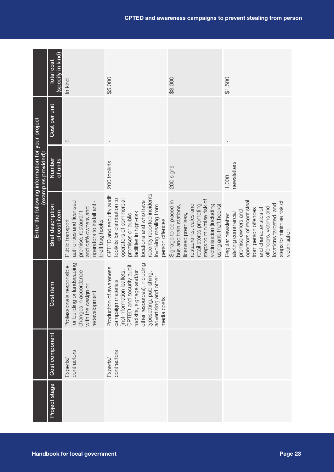|                                                                          | (specify in kind)<br><b>Total cost</b>   | In kind                                                                                                                                     | \$5,000                                                                                                                                                                                                                                    | \$3,000                                                                                                                                                                                                           | \$1,500                                                                                                                                                                                                                                           |
|--------------------------------------------------------------------------|------------------------------------------|---------------------------------------------------------------------------------------------------------------------------------------------|--------------------------------------------------------------------------------------------------------------------------------------------------------------------------------------------------------------------------------------------|-------------------------------------------------------------------------------------------------------------------------------------------------------------------------------------------------------------------|---------------------------------------------------------------------------------------------------------------------------------------------------------------------------------------------------------------------------------------------------|
|                                                                          | Cost per unit                            | $\Theta$                                                                                                                                    |                                                                                                                                                                                                                                            |                                                                                                                                                                                                                   |                                                                                                                                                                                                                                                   |
| Enter the following information for your project<br>(examples provided): | Number<br>of units                       |                                                                                                                                             | 200 toolkits                                                                                                                                                                                                                               | 200 signs                                                                                                                                                                                                         | newsletters<br>1,000                                                                                                                                                                                                                              |
|                                                                          | <b>Brief description</b><br>of cost item | authorities and licensed<br>operators to install anti-<br>and café owners and<br>premise, restaurant<br>theft bag hooks<br>Public transport | recently reported incidents<br>CPTED and security audit<br>toolkits for distribution to<br>operators of commercial<br>locations and who have<br>nvolving stealing from<br>facilities in high-risk<br>premises or public<br>person offences | steps to minimise risk of<br>Signage to be placed in<br>victimisation (including<br>retail stores promoting<br>restaurants, cafes and<br>bus and train stations,<br>using anti-theft hooks)<br>licensed premises, | steps to minimise risk of<br>operators of recent steal<br>locations targeted, and<br>offenders, victims and<br>and characteristics of<br>from person offences<br>premise owners and<br>alerting commercial<br>Regular newsletter<br>victimisation |
|                                                                          | Cost item                                | for building or landscaping<br>Professionals responsible<br>changes in accordance<br>with the design or<br>redevelopment                    | other resources), including<br>CPTED and security audit<br>Production of awareness<br>incl information leaflets,<br>toolkits, signage and/or<br>typesetting, publishing,<br>advertising and other<br>campaign materials<br>media costs     |                                                                                                                                                                                                                   |                                                                                                                                                                                                                                                   |
|                                                                          | Cost component                           | contractors<br>Experts/                                                                                                                     | contractors<br>Experts/                                                                                                                                                                                                                    |                                                                                                                                                                                                                   |                                                                                                                                                                                                                                                   |
|                                                                          | Project stage                            |                                                                                                                                             |                                                                                                                                                                                                                                            |                                                                                                                                                                                                                   |                                                                                                                                                                                                                                                   |
|                                                                          |                                          | <b>Handbook for local government</b>                                                                                                        |                                                                                                                                                                                                                                            |                                                                                                                                                                                                                   | Page 23                                                                                                                                                                                                                                           |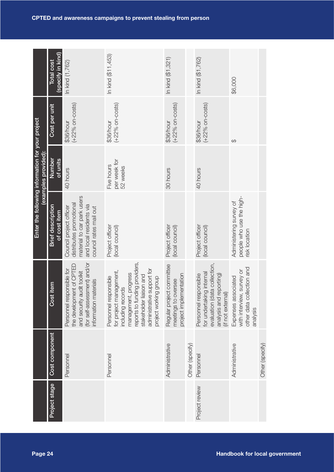|                                                  | (specify in kind)<br><b>Total cost</b>   | In kind (1,762)                                                                                                                                 | In kind (\$11,453)                                                                                                                                                                                               | In kind (\$1,321)                                                          |                 | In kind (\$1,762)                                                                                                                 | \$6,000                                                                                   |                                      |
|--------------------------------------------------|------------------------------------------|-------------------------------------------------------------------------------------------------------------------------------------------------|------------------------------------------------------------------------------------------------------------------------------------------------------------------------------------------------------------------|----------------------------------------------------------------------------|-----------------|-----------------------------------------------------------------------------------------------------------------------------------|-------------------------------------------------------------------------------------------|--------------------------------------|
|                                                  | Cost per unit                            | $(+22%$ on-costs)<br>\$36/hour                                                                                                                  | $(+22%$ on-costs)<br>\$36/hour                                                                                                                                                                                   | $(+22\%$ on-costs)<br>\$36/hour                                            |                 | $(+22%$ on-costs)<br>\$36/hour                                                                                                    | $\Theta$                                                                                  |                                      |
| (examples provided):                             | <b>Number</b><br>of units                | 40 hours                                                                                                                                        | per week for<br>Five hours<br>52 weeks                                                                                                                                                                           | 30 hours                                                                   |                 | 40 hours                                                                                                                          |                                                                                           |                                      |
| Enter the following information for your project | <b>Brief description</b><br>of cost item | material to car park users<br>distributes promotional<br>and local residents via<br>Council project officer<br>council rates mail out           | Project officer<br>(local council)                                                                                                                                                                               | Project officer<br>(local council)                                         |                 | Project officer<br>(local council)                                                                                                | people who use the high-<br>Administering survey of<br>risk location                      |                                      |
|                                                  | Cost item                                | (for self-assessment) and/or<br>the development of CPTED<br>Personnel responsible for<br>audit toolkit<br>information materials<br>and security | reports to funding providers,<br>administrative support for<br>for project management,<br>management, progress<br>stakeholder liaison and<br>Personnel responsible<br>project working group<br>including records | Regular project committee<br>project implementation<br>meetings to oversee |                 | evaluation (data collection,<br>for undertaking internal<br>Personnel responsible<br>analysis and reporting)<br>(if not external) | other data collection and<br>with interview, survey or<br>Expenses associated<br>analysis |                                      |
|                                                  | Cost component                           | Personnel                                                                                                                                       | Personnel                                                                                                                                                                                                        | Administrative                                                             | Other (specify) | Personnel                                                                                                                         | Administrative                                                                            | Other (specify)                      |
|                                                  | Project stage                            |                                                                                                                                                 |                                                                                                                                                                                                                  |                                                                            |                 | Project review                                                                                                                    |                                                                                           |                                      |
| Page 24                                          |                                          |                                                                                                                                                 |                                                                                                                                                                                                                  |                                                                            |                 |                                                                                                                                   |                                                                                           | <b>Handbook for local government</b> |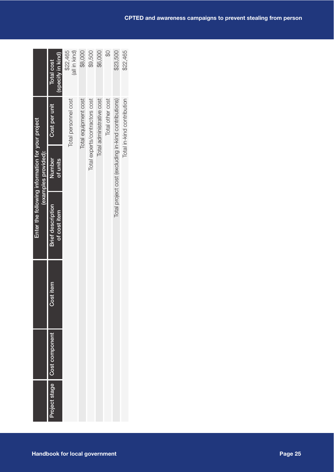|                                                                          | (specify in kind)<br>Total cost          | \$22,465<br>(all in kind) | \$8,000              | \$9,500                        | \$6,000                   | ₩                | \$23,500                                             | \$22,465                   |
|--------------------------------------------------------------------------|------------------------------------------|---------------------------|----------------------|--------------------------------|---------------------------|------------------|------------------------------------------------------|----------------------------|
|                                                                          | Cost per unit                            | Total personnel cost      | Total equipment cost | Total experts/contractors cost | Total administrative cost | Total other cost |                                                      | Total in-kind contribution |
| Enter the following information for your project<br>(examples provided): | Number<br>of units                       |                           |                      |                                |                           |                  | Total project cost (excluding in-kind contributions) |                            |
|                                                                          | <b>Brief description</b><br>of cost item |                           |                      |                                |                           |                  |                                                      |                            |
|                                                                          | Cost item                                |                           |                      |                                |                           |                  |                                                      |                            |
|                                                                          | Cost component                           |                           |                      |                                |                           |                  |                                                      |                            |
|                                                                          | Project stage                            |                           |                      |                                |                           |                  |                                                      |                            |
| <b>Handbook for local government</b>                                     |                                          |                           |                      |                                |                           |                  |                                                      |                            |

ı.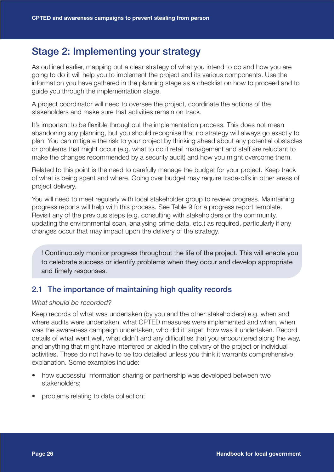# Stage 2: Implementing your strategy

As outlined earlier, mapping out a clear strategy of what you intend to do and how you are going to do it will help you to implement the project and its various components. Use the information you have gathered in the planning stage as a checklist on how to proceed and to guide you through the implementation stage.

A project coordinator will need to oversee the project, coordinate the actions of the stakeholders and make sure that activities remain on track.

It's important to be flexible throughout the implementation process. This does not mean abandoning any planning, but you should recognise that no strategy will always go exactly to plan. You can mitigate the risk to your project by thinking ahead about any potential obstacles or problems that might occur (e.g. what to do if retail management and staff are reluctant to make the changes recommended by a security audit) and how you might overcome them.

Related to this point is the need to carefully manage the budget for your project. Keep track of what is being spent and where. Going over budget may require trade-offs in other areas of project delivery.

You will need to meet regularly with local stakeholder group to review progress. Maintaining progress reports will help with this process. See Table 9 for a progress report template. Revisit any of the previous steps (e.g. consulting with stakeholders or the community, updating the environmental scan, analysing crime data, etc.) as required, particularly if any changes occur that may impact upon the delivery of the strategy.

! Continuously monitor progress throughout the life of the project. This will enable you to celebrate success or identify problems when they occur and develop appropriate and timely responses.

#### 2.1 The importance of maintaining high quality records

#### *What should be recorded?*

Keep records of what was undertaken (by you and the other stakeholders) e.g. when and where audits were undertaken, what CPTED measures were implemented and when, when was the awareness campaign undertaken, who did it target, how was it undertaken. Record details of what went well, what didn't and any difficulties that you encountered along the way, and anything that might have interfered or aided in the delivery of the project or individual activities. These do not have to be too detailed unless you think it warrants comprehensive explanation. Some examples include:

- how successful information sharing or partnership was developed between two stakeholders;
- problems relating to data collection;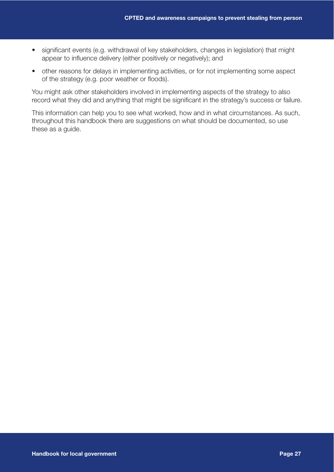- significant events (e.g. withdrawal of key stakeholders, changes in legislation) that might appear to influence delivery (either positively or negatively); and
- other reasons for delays in implementing activities, or for not implementing some aspect of the strategy (e.g. poor weather or floods).

You might ask other stakeholders involved in implementing aspects of the strategy to also record what they did and anything that might be significant in the strategy's success or failure.

This information can help you to see what worked, how and in what circumstances. As such, throughout this handbook there are suggestions on what should be documented, so use these as a guide.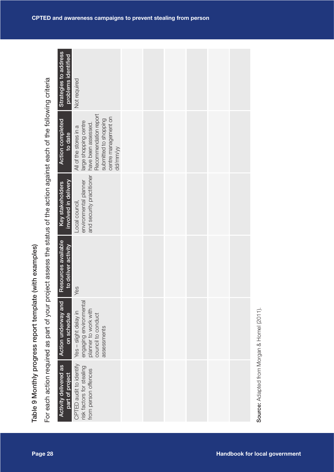|                                                                                                         | Strategies to address<br>problems identified | Not required                                                                                                                                                 |  |  |  |                                             |  |
|---------------------------------------------------------------------------------------------------------|----------------------------------------------|--------------------------------------------------------------------------------------------------------------------------------------------------------------|--|--|--|---------------------------------------------|--|
|                                                                                                         | <b>Action completed</b><br>to date           | Recommendation report<br>centre management on<br>submitted to shopping<br>large shopping centre<br>have been assessed.<br>All of the stores in a<br>dd/mm/yy |  |  |  |                                             |  |
| oject assess the status of the action against each of the following criteria                            | involved in delivery<br>Key stakeholders     | and security practitioner<br>environmental planner<br>Local council,                                                                                         |  |  |  |                                             |  |
|                                                                                                         | Resources available<br>to deliver activity   | Yes                                                                                                                                                          |  |  |  |                                             |  |
|                                                                                                         | <b>Action underway and</b><br>on schedule    | engaging environmental<br>planner to work with<br>Yes - slight delay in<br>council to conduct<br>assessments                                                 |  |  |  |                                             |  |
| Table 9 Monthly progress report template (with examples)<br>For each action required as part of your pr | Activity delivered as<br>part of project     | CPTED audit to identify<br>risk factors for stealing<br>from person offences                                                                                 |  |  |  | Source: Adapted from Morgan & Homel (2011). |  |
| Page 28                                                                                                 |                                              |                                                                                                                                                              |  |  |  | <b>Handbook for local government</b>        |  |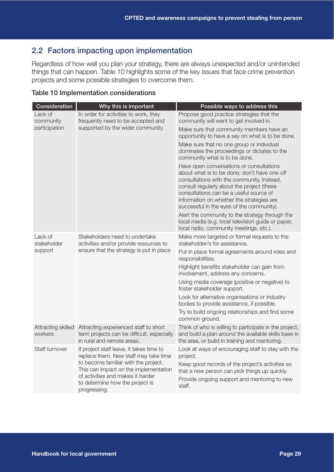#### 2.2 Factors impacting upon implementation

Regardless of how well you plan your strategy, there are always unexpected and/or unintended things that can happen. Table 10 highlights some of the key issues that face crime prevention projects and some possible strategies to overcome them.

| Table 10 Implementation considerations |  |
|----------------------------------------|--|
|                                        |  |

| Consideration                 | Why this is important                                                                                                                                                                                                                                      | Possible ways to address this                                                                                                                                                                                                                                                                                             |
|-------------------------------|------------------------------------------------------------------------------------------------------------------------------------------------------------------------------------------------------------------------------------------------------------|---------------------------------------------------------------------------------------------------------------------------------------------------------------------------------------------------------------------------------------------------------------------------------------------------------------------------|
| Lack of<br>community          | In order for activities to work, they<br>frequently need to be accepted and                                                                                                                                                                                | Propose good practice strategies that the<br>community will want to get involved in.                                                                                                                                                                                                                                      |
| participation                 | supported by the wider community.                                                                                                                                                                                                                          | Make sure that community members have an<br>opportunity to have a say on what is to be done.                                                                                                                                                                                                                              |
|                               |                                                                                                                                                                                                                                                            | Make sure that no one group or individual<br>dominates the proceedings or dictates to the<br>community what is to be done.                                                                                                                                                                                                |
|                               |                                                                                                                                                                                                                                                            | Have open conversations or consultations<br>about what is to be done; don't have one-off<br>consultations with the community. Instead,<br>consult regularly about the project (these<br>consultations can be a useful source of<br>information on whether the strategies are<br>successful in the eyes of the community). |
|                               |                                                                                                                                                                                                                                                            | Alert the community to the strategy through the<br>local media (e.g. local television guide or paper,<br>local radio, community meetings, etc.).                                                                                                                                                                          |
| Lack of<br>stakeholder        | Stakeholders need to undertake<br>activities and/or provide resources to                                                                                                                                                                                   | Make more targeted or formal requests to the<br>stakeholder/s for assistance.                                                                                                                                                                                                                                             |
| support                       | ensure that the strategy is put in place                                                                                                                                                                                                                   | Put in place formal agreements around roles and<br>responsibilities.                                                                                                                                                                                                                                                      |
|                               |                                                                                                                                                                                                                                                            | Highlight benefits stakeholder can gain from<br>involvement, address any concerns.                                                                                                                                                                                                                                        |
|                               |                                                                                                                                                                                                                                                            | Using media coverage (positive or negative) to<br>foster stakeholder support.                                                                                                                                                                                                                                             |
|                               |                                                                                                                                                                                                                                                            | Look for alternative organisations or industry<br>bodies to provide assistance, if possible.                                                                                                                                                                                                                              |
|                               |                                                                                                                                                                                                                                                            | Try to build ongoing relationships and find some<br>common ground.                                                                                                                                                                                                                                                        |
| Attracting skilled<br>workers | Attracting experienced staff to short<br>term projects can be difficult, especially<br>in rural and remote areas.                                                                                                                                          | Think of who is willing to participate in the project,<br>and build a plan around the available skills base in<br>the area, or build in training and mentoring.                                                                                                                                                           |
| Staff turnover                | If project staff leave, it takes time to<br>replace them. New staff may take time<br>to become familiar with the project.<br>This can impact on the implementation<br>of activities and makes it harder<br>to determine how the project is<br>progressing. | Look at ways of encouraging staff to stay with the<br>project.<br>Keep good records of the project's activities so<br>that a new person can pick things up quickly.<br>Provide ongoing support and mentoring to new<br>staff.                                                                                             |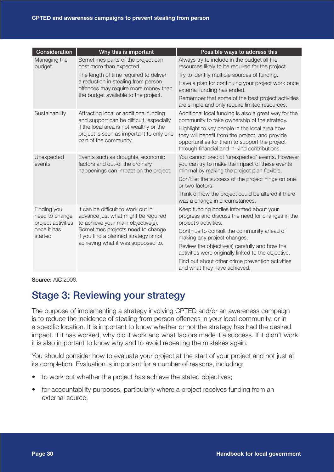| Consideration                                       | Why this is important                                                                                                                                                                               | Possible ways to address this                                                                                                                                                                                                                                                                             |
|-----------------------------------------------------|-----------------------------------------------------------------------------------------------------------------------------------------------------------------------------------------------------|-----------------------------------------------------------------------------------------------------------------------------------------------------------------------------------------------------------------------------------------------------------------------------------------------------------|
| Managing the<br>budget                              | Sometimes parts of the project can<br>cost more than expected.                                                                                                                                      | Always try to include in the budget all the<br>resources likely to be required for the project.                                                                                                                                                                                                           |
|                                                     | The length of time required to deliver                                                                                                                                                              | Try to identify multiple sources of funding.                                                                                                                                                                                                                                                              |
|                                                     | a reduction in stealing from person<br>offences may require more money than                                                                                                                         | Have a plan for continuing your project work once<br>external funding has ended.                                                                                                                                                                                                                          |
|                                                     | the budget available to the project.                                                                                                                                                                | Remember that some of the best project activities<br>are simple and only require limited resources.                                                                                                                                                                                                       |
| Sustainability                                      | Attracting local or additional funding<br>and support can be difficult, especially<br>if the local area is not wealthy or the<br>project is seen as important to only one<br>part of the community. | Additional local funding is also a great way for the<br>community to take ownership of the strategy.<br>Highlight to key people in the local area how<br>they will benefit from the project, and provide<br>opportunities for them to support the project<br>through financial and in-kind contributions. |
| Unexpected<br>events                                | Events such as droughts, economic<br>factors and out-of the ordinary<br>happenings can impact on the project.                                                                                       | You cannot predict 'unexpected' events. However<br>you can try to make the impact of these events<br>minimal by making the project plan flexible.                                                                                                                                                         |
|                                                     |                                                                                                                                                                                                     | Don't let the success of the project hinge on one<br>or two factors.                                                                                                                                                                                                                                      |
|                                                     |                                                                                                                                                                                                     | Think of how the project could be altered if there<br>was a change in circumstances.                                                                                                                                                                                                                      |
| Finding you<br>need to change<br>project activities | It can be difficult to work out in<br>advance just what might be required<br>to achieve your main objective(s).                                                                                     | Keep funding bodies informed about your<br>progress and discuss the need for changes in the<br>project's activities.                                                                                                                                                                                      |
| once it has<br>started                              | Sometimes projects need to change<br>if you find a planned strategy is not                                                                                                                          | Continue to consult the community ahead of<br>making any project changes.                                                                                                                                                                                                                                 |
|                                                     | achieving what it was supposed to.                                                                                                                                                                  | Review the objective(s) carefully and how the<br>activities were originally linked to the objective.                                                                                                                                                                                                      |
|                                                     |                                                                                                                                                                                                     | Find out about other crime prevention activities<br>and what they have achieved.                                                                                                                                                                                                                          |

**Source: AIC 2006.** 

# Stage 3: Reviewing your strategy

The purpose of implementing a strategy involving CPTED and/or an awareness campaign is to reduce the incidence of stealing from person offences in your local community, or in a specific location. It is important to know whether or not the strategy has had the desired impact. If it has worked, why did it work and what factors made it a success. If it didn't work it is also important to know why and to avoid repeating the mistakes again.

You should consider how to evaluate your project at the start of your project and not just at its completion. Evaluation is important for a number of reasons, including:

- to work out whether the project has achieve the stated objectives;
- for accountability purposes, particularly where a project receives funding from an external source;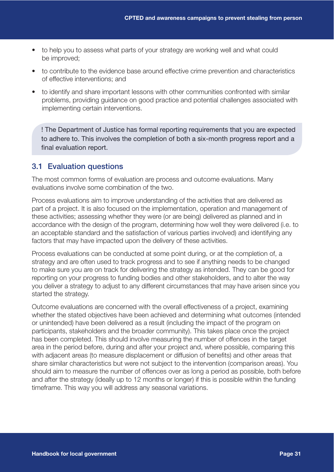- to help you to assess what parts of your strategy are working well and what could be improved;
- to contribute to the evidence base around effective crime prevention and characteristics of effective interventions; and
- to identify and share important lessons with other communities confronted with similar problems, providing guidance on good practice and potential challenges associated with implementing certain interventions.

! The Department of Justice has formal reporting requirements that you are expected to adhere to. This involves the completion of both a six-month progress report and a final evaluation report.

#### 3.1 Evaluation questions

The most common forms of evaluation are process and outcome evaluations. Many evaluations involve some combination of the two.

Process evaluations aim to improve understanding of the activities that are delivered as part of a project. It is also focused on the implementation, operation and management of these activities; assessing whether they were (or are being) delivered as planned and in accordance with the design of the program, determining how well they were delivered (i.e. to an acceptable standard and the satisfaction of various parties involved) and identifying any factors that may have impacted upon the delivery of these activities.

Process evaluations can be conducted at some point during, or at the completion of, a strategy and are often used to track progress and to see if anything needs to be changed to make sure you are on track for delivering the strategy as intended. They can be good for reporting on your progress to funding bodies and other stakeholders, and to alter the way you deliver a strategy to adjust to any different circumstances that may have arisen since you started the strategy.

Outcome evaluations are concerned with the overall effectiveness of a project, examining whether the stated objectives have been achieved and determining what outcomes (intended or unintended) have been delivered as a result (including the impact of the program on participants, stakeholders and the broader community). This takes place once the project has been completed. This should involve measuring the number of offences in the target area in the period before, during and after your project and, where possible, comparing this with adjacent areas (to measure displacement or diffusion of benefits) and other areas that share similar characteristics but were not subject to the intervention (comparison areas). You should aim to measure the number of offences over as long a period as possible, both before and after the strategy (ideally up to 12 months or longer) if this is possible within the funding timeframe. This way you will address any seasonal variations.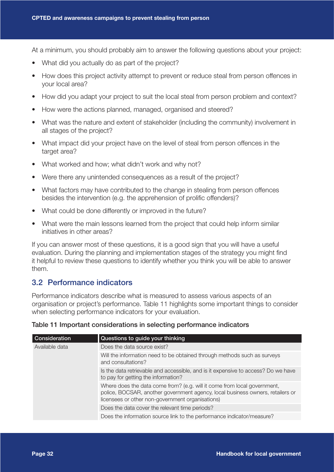At a minimum, you should probably aim to answer the following questions about your project:

- What did you actually do as part of the project?
- How does this project activity attempt to prevent or reduce steal from person offences in your local area?
- How did you adapt your project to suit the local steal from person problem and context?
- How were the actions planned, managed, organised and steered?
- What was the nature and extent of stakeholder (including the community) involvement in all stages of the project?
- What impact did your project have on the level of steal from person offences in the target area?
- What worked and how; what didn't work and why not?
- Were there any unintended consequences as a result of the project?
- What factors may have contributed to the change in stealing from person offences besides the intervention (e.g. the apprehension of prolific offenders)?
- What could be done differently or improved in the future?
- What were the main lessons learned from the project that could help inform similar initiatives in other areas?

If you can answer most of these questions, it is a good sign that you will have a useful evaluation. During the planning and implementation stages of the strategy you might find it helpful to review these questions to identify whether you think you will be able to answer them.

#### 3.2 Performance indicators

Performance indicators describe what is measured to assess various aspects of an organisation or project's performance. Table 11 highlights some important things to consider when selecting performance indicators for your evaluation.

| Consideration  | Questions to guide your thinking                                                                                                                                                                               |
|----------------|----------------------------------------------------------------------------------------------------------------------------------------------------------------------------------------------------------------|
| Available data | Does the data source exist?                                                                                                                                                                                    |
|                | Will the information need to be obtained through methods such as surveys<br>and consultations?                                                                                                                 |
|                | Is the data retrievable and accessible, and is it expensive to access? Do we have<br>to pay for getting the information?                                                                                       |
|                | Where does the data come from? (e.g. will it come from local government,<br>police, BOCSAR, another government agency, local business owners, retailers or<br>licensees or other non-government organisations) |
|                | Does the data cover the relevant time periods?                                                                                                                                                                 |
|                | Does the information source link to the performance indicator/measure?                                                                                                                                         |

#### Table 11 Important considerations in selecting performance indicators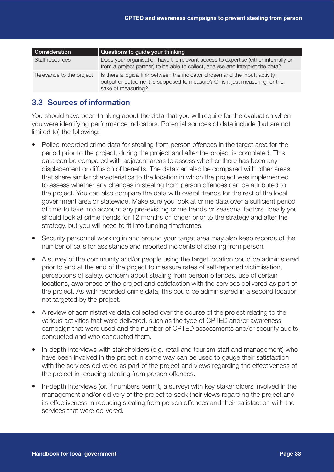| Consideration            | Questions to guide your thinking                                                                                                                                                    |
|--------------------------|-------------------------------------------------------------------------------------------------------------------------------------------------------------------------------------|
| Staff resources          | Does your organisation have the relevant access to expertise (either internally or<br>from a project partner) to be able to collect, analyse and interpret the data?                |
| Relevance to the project | Is there a logical link between the indicator chosen and the input, activity,<br>output or outcome it is supposed to measure? Or is it just measuring for the<br>sake of measuring? |

#### 3.3 Sources of information

You should have been thinking about the data that you will require for the evaluation when you were identifying performance indicators. Potential sources of data include (but are not limited to) the following:

- Police-recorded crime data for stealing from person offences in the target area for the period prior to the project, during the project and after the project is completed. This data can be compared with adjacent areas to assess whether there has been any displacement or diffusion of benefits. The data can also be compared with other areas that share similar characteristics to the location in which the project was implemented to assess whether any changes in stealing from person offences can be attributed to the project. You can also compare the data with overall trends for the rest of the local government area or statewide. Make sure you look at crime data over a sufficient period of time to take into account any pre-existing crime trends or seasonal factors. Ideally you should look at crime trends for 12 months or longer prior to the strategy and after the strategy, but you will need to fit into funding timeframes.
- Security personnel working in and around your target area may also keep records of the number of calls for assistance and reported incidents of stealing from person.
- A survey of the community and/or people using the target location could be administered prior to and at the end of the project to measure rates of self-reported victimisation, perceptions of safety, concern about stealing from person offences, use of certain locations, awareness of the project and satisfaction with the services delivered as part of the project. As with recorded crime data, this could be administered in a second location not targeted by the project.
- A review of administrative data collected over the course of the project relating to the various activities that were delivered, such as the type of CPTED and/or awareness campaign that were used and the number of CPTED assessments and/or security audits conducted and who conducted them.
- In-depth interviews with stakeholders (e.g. retail and tourism staff and management) who have been involved in the project in some way can be used to gauge their satisfaction with the services delivered as part of the project and views regarding the effectiveness of the project in reducing stealing from person offences.
- In-depth interviews (or, if numbers permit, a survey) with key stakeholders involved in the management and/or delivery of the project to seek their views regarding the project and its effectiveness in reducing stealing from person offences and their satisfaction with the services that were delivered.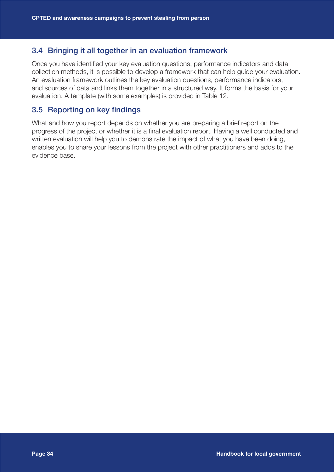#### 3.4 Bringing it all together in an evaluation framework

Once you have identified your key evaluation questions, performance indicators and data collection methods, it is possible to develop a framework that can help guide your evaluation. An evaluation framework outlines the key evaluation questions, performance indicators, and sources of data and links them together in a structured way. It forms the basis for your evaluation. A template (with some examples) is provided in Table 12.

#### 3.5 Reporting on key findings

What and how you report depends on whether you are preparing a brief report on the progress of the project or whether it is a final evaluation report. Having a well conducted and written evaluation will help you to demonstrate the impact of what you have been doing, enables you to share your lessons from the project with other practitioners and adds to the evidence base.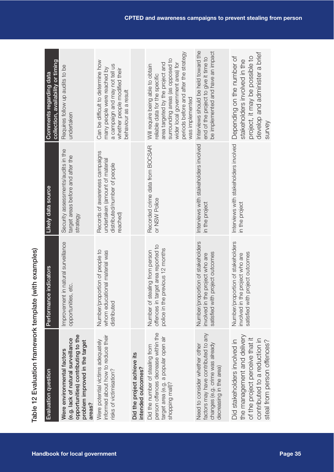| undertaken<br>Survey<br>Interviews with stakeholders involved<br>Interviews with stakeholders involved<br>Recorded crime data from BOCSAR<br>Security assessments/audits in the<br>Records of awareness campaigns<br>target areas before and after the<br>undertaken (amount of material<br>distributed/number of people<br>or NSW Police<br>in the project<br>in the project<br>reached)<br>strategy<br>Number/proportion of stakeholders<br>Number/proportion of stakeholders<br>t in natural surveillance<br>offences in target area reported to<br>police in the previous 12 months<br>Number/proportion of people to<br>whom educational material was<br>Number of stealing from person<br>satisfied with project outcomes<br>satisfied with project outcomes<br>involved in the project who are<br>involved in the project who are<br>opportunities, etc.<br>Improvemen<br>distributed<br>person offences decrease within the<br>factors may have contributed to any<br>opportunities) contributing to the<br>informed about how to reduce their<br>the management and delivery<br>target area (e.g. a popular open air<br>of the project perceive that it<br>(e.g. lack of natural surveillance<br>contributed to a reduction in<br>Were potential victims adequately<br>Did stakeholders involved in<br>problem improved in the target<br>steal from person offences?<br>changes (e.g. crime was already<br>Need to consider whether other<br>Did the number of stealing from<br>Were environmental factors<br>Did the project achieve its<br>decreasing in the area)<br>intended outcomes?<br>risks of victimisation?<br>shopping mall)?<br>areas? | Evaluation question | Performance indicators | Likely data source | collection, availability or timing<br>Comments regarding data                                                                                                                                                                              |
|-------------------------------------------------------------------------------------------------------------------------------------------------------------------------------------------------------------------------------------------------------------------------------------------------------------------------------------------------------------------------------------------------------------------------------------------------------------------------------------------------------------------------------------------------------------------------------------------------------------------------------------------------------------------------------------------------------------------------------------------------------------------------------------------------------------------------------------------------------------------------------------------------------------------------------------------------------------------------------------------------------------------------------------------------------------------------------------------------------------------------------------------------------------------------------------------------------------------------------------------------------------------------------------------------------------------------------------------------------------------------------------------------------------------------------------------------------------------------------------------------------------------------------------------------------------------------------------------------------------------------------------------------------------|---------------------|------------------------|--------------------|--------------------------------------------------------------------------------------------------------------------------------------------------------------------------------------------------------------------------------------------|
|                                                                                                                                                                                                                                                                                                                                                                                                                                                                                                                                                                                                                                                                                                                                                                                                                                                                                                                                                                                                                                                                                                                                                                                                                                                                                                                                                                                                                                                                                                                                                                                                                                                             |                     |                        |                    | Requires follow up audits to be                                                                                                                                                                                                            |
|                                                                                                                                                                                                                                                                                                                                                                                                                                                                                                                                                                                                                                                                                                                                                                                                                                                                                                                                                                                                                                                                                                                                                                                                                                                                                                                                                                                                                                                                                                                                                                                                                                                             |                     |                        |                    | Can be difficult to determine how<br>a campaign and may not tell us<br>many people were reached by<br>whether people modified their<br>behaviour as a result                                                                               |
|                                                                                                                                                                                                                                                                                                                                                                                                                                                                                                                                                                                                                                                                                                                                                                                                                                                                                                                                                                                                                                                                                                                                                                                                                                                                                                                                                                                                                                                                                                                                                                                                                                                             |                     |                        |                    |                                                                                                                                                                                                                                            |
|                                                                                                                                                                                                                                                                                                                                                                                                                                                                                                                                                                                                                                                                                                                                                                                                                                                                                                                                                                                                                                                                                                                                                                                                                                                                                                                                                                                                                                                                                                                                                                                                                                                             |                     |                        |                    | periods before and after the strategy<br>surrounding areas (as opposed to<br>area targeted by the project and<br>wider local government area) for<br>Will require being able to obtain<br>eliable data for the specific<br>was implemented |
|                                                                                                                                                                                                                                                                                                                                                                                                                                                                                                                                                                                                                                                                                                                                                                                                                                                                                                                                                                                                                                                                                                                                                                                                                                                                                                                                                                                                                                                                                                                                                                                                                                                             |                     |                        |                    | Interviews should be held toward the<br>be implemented and have an impact<br>end of the project to give it time to                                                                                                                         |
|                                                                                                                                                                                                                                                                                                                                                                                                                                                                                                                                                                                                                                                                                                                                                                                                                                                                                                                                                                                                                                                                                                                                                                                                                                                                                                                                                                                                                                                                                                                                                                                                                                                             |                     |                        |                    | develop and administer a brief<br>Depending on the number of<br>project, it may be possible to<br>stakeholders involved in the                                                                                                             |
|                                                                                                                                                                                                                                                                                                                                                                                                                                                                                                                                                                                                                                                                                                                                                                                                                                                                                                                                                                                                                                                                                                                                                                                                                                                                                                                                                                                                                                                                                                                                                                                                                                                             |                     |                        |                    |                                                                                                                                                                                                                                            |